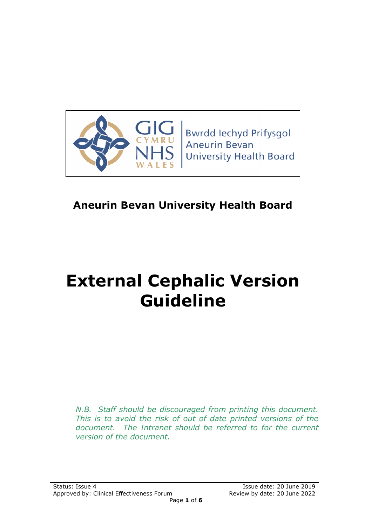

# **Aneurin Bevan University Health Board**

# **External Cephalic Version Guideline**

*N.B. Staff should be discouraged from printing this document. This is to avoid the risk of out of date printed versions of the document. The Intranet should be referred to for the current version of the document.*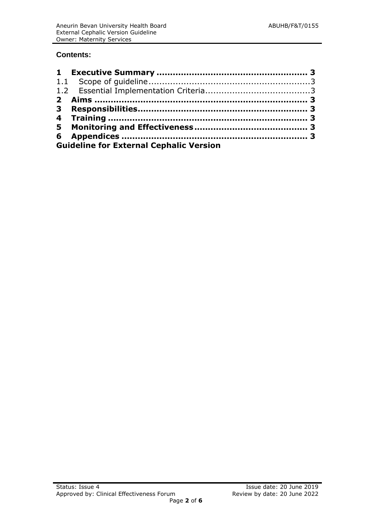#### **Contents:**

| <b>Guideline for External Cephalic Version</b> |  |
|------------------------------------------------|--|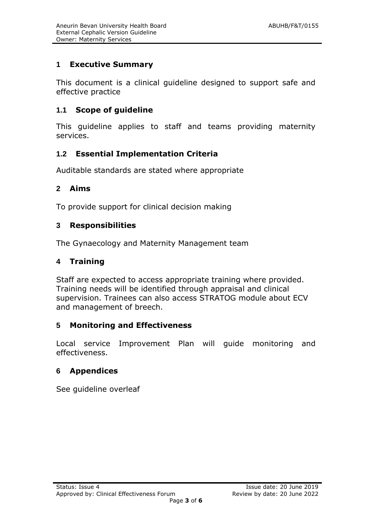# **1 Executive Summary**

This document is a clinical guideline designed to support safe and effective practice

#### **1.1 Scope of guideline**

This guideline applies to staff and teams providing maternity services.

#### **1.2 Essential Implementation Criteria**

Auditable standards are stated where appropriate

#### **2 Aims**

To provide support for clinical decision making

#### **3 Responsibilities**

The Gynaecology and Maternity Management team

#### **4 Training**

Staff are expected to access appropriate training where provided. Training needs will be identified through appraisal and clinical supervision. Trainees can also access STRATOG module about ECV and management of breech.

#### **5 Monitoring and Effectiveness**

Local service Improvement Plan will guide monitoring and effectiveness.

#### **6 Appendices**

See guideline overleaf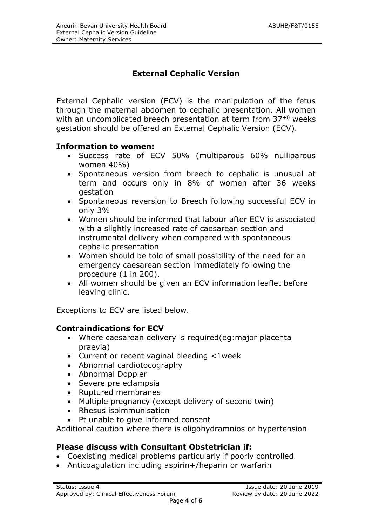# **External Cephalic Version**

External Cephalic version (ECV) is the manipulation of the fetus through the maternal abdomen to cephalic presentation. All women with an uncomplicated breech presentation at term from 37<sup>+0</sup> weeks gestation should be offered an External Cephalic Version (ECV).

#### **Information to women:**

- Success rate of ECV 50% (multiparous 60% nulliparous women 40%)
- Spontaneous version from breech to cephalic is unusual at term and occurs only in 8% of women after 36 weeks gestation
- Spontaneous reversion to Breech following successful ECV in only 3%
- Women should be informed that labour after ECV is associated with a slightly increased rate of caesarean section and instrumental delivery when compared with spontaneous cephalic presentation
- Women should be told of small possibility of the need for an emergency caesarean section immediately following the procedure (1 in 200).
- All women should be given an ECV information leaflet before leaving clinic.

Exceptions to ECV are listed below.

#### **Contraindications for ECV**

- Where caesarean delivery is required(eg:major placenta praevia)
- Current or recent vaginal bleeding <1week
- Abnormal cardiotocography
- Abnormal Doppler
- Severe pre eclampsia
- Ruptured membranes
- Multiple pregnancy (except delivery of second twin)
- Rhesus isoimmunisation
- Pt unable to give informed consent

Additional caution where there is oligohydramnios or hypertension

# **Please discuss with Consultant Obstetrician if:**

- Coexisting medical problems particularly if poorly controlled
- Anticoagulation including aspirin+/heparin or warfarin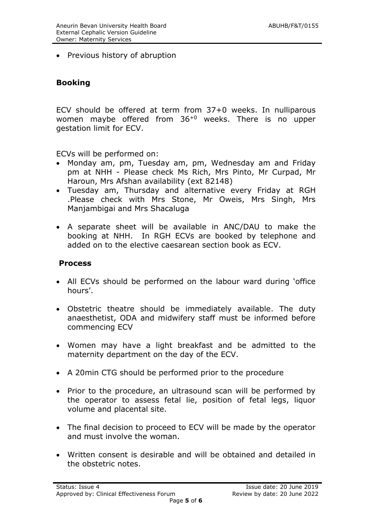• Previous history of abruption

#### **Booking**

ECV should be offered at term from 37+0 weeks. In nulliparous women maybe offered from 36+0 weeks. There is no upper gestation limit for ECV.

ECVs will be performed on:

- Monday am, pm, Tuesday am, pm, Wednesday am and Friday pm at NHH - Please check Ms Rich, Mrs Pinto, Mr Curpad, Mr Haroun, Mrs Afshan availability (ext 82148)
- Tuesday am, Thursday and alternative every Friday at RGH .Please check with Mrs Stone, Mr Oweis, Mrs Singh, Mrs Manjambigai and Mrs Shacaluga
- A separate sheet will be available in ANC/DAU to make the booking at NHH. In RGH ECVs are booked by telephone and added on to the elective caesarean section book as ECV.

#### **Process**

- All ECVs should be performed on the labour ward during 'office hours'.
- Obstetric theatre should be immediately available. The duty anaesthetist, ODA and midwifery staff must be informed before commencing ECV
- Women may have a light breakfast and be admitted to the maternity department on the day of the ECV.
- A 20min CTG should be performed prior to the procedure
- Prior to the procedure, an ultrasound scan will be performed by the operator to assess fetal lie, position of fetal legs, liquor volume and placental site.
- The final decision to proceed to ECV will be made by the operator and must involve the woman.
- Written consent is desirable and will be obtained and detailed in the obstetric notes.